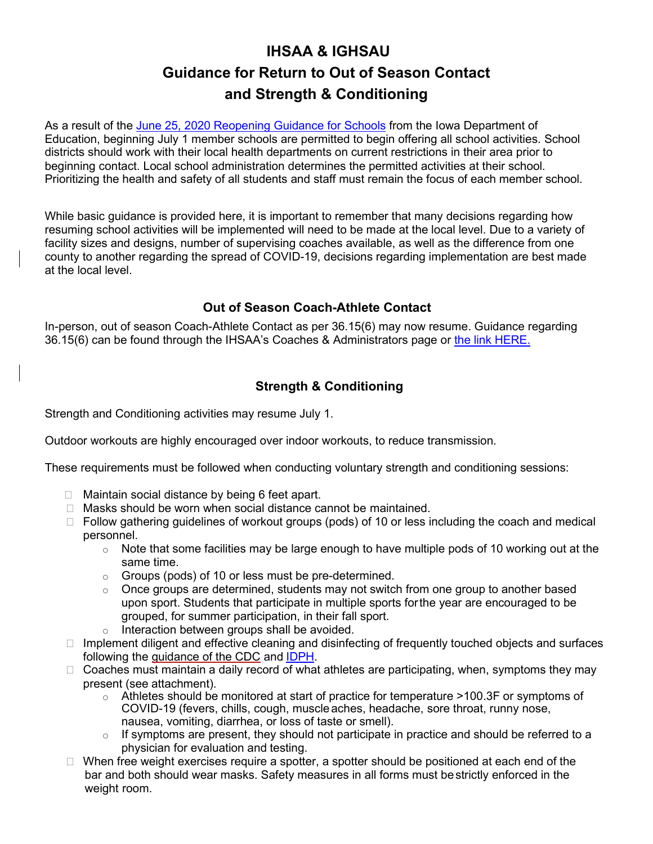# **IHSAA & IGHSAU Guidance for Return to Out of Season Contact and Strength & Conditioning**

As a result of the [June 25, 2020 Reopening Guidance for Schools](https://educateiowa.gov/documents/pk-12/2020/06/reopening-guidance-schools) from the Iowa Department of Education, beginning July 1 member schools are permitted to begin offering all school activities. School districts should work with their local health departments on current restrictions in their area prior to beginning contact. Local school administration determines the permitted activities at their school. Prioritizing the health and safety of all students and staff must remain the focus of each member school.

While basic guidance is provided here, it is important to remember that many decisions regarding how resuming school activities will be implemented will need to be made at the local level. Due to a variety of facility sizes and designs, number of supervising coaches available, as well as the difference from one county to another regarding the spread of COVID-19, decisions regarding implementation are best made at the local level.

## **Out of Season Coach-Athlete Contact**

In-person, out of season Coach-Athlete Contact as per 36.15(6) may now resume. Guidance regarding 36.15(6) can be found through the IHSAA's Coaches & Administrators page or [the link HERE.](https://www.iahsaa.org/wp-content/uploads/2019/09/CoachAthleteContactFAQs.pdf)

## **Strength & Conditioning**

Strength and Conditioning activities may resume July 1.

Outdoor workouts are highly encouraged over indoor workouts, to reduce transmission.

These requirements must be followed when conducting voluntary strength and conditioning sessions:

- $\Box$  Maintain social distance by being 6 feet apart.
- $\Box$  Masks should be worn when social distance cannot be maintained.
- $\Box$  Follow gathering guidelines of workout groups (pods) of 10 or less including the coach and medical personnel.
	- $\circ$  Note that some facilities may be large enough to have multiple pods of 10 working out at the same time.
	- o Groups (pods) of 10 or less must be pre-determined.
	- $\circ$  Once groups are determined, students may not switch from one group to another based upon sport. Students that participate in multiple sports forthe year are encouraged to be grouped, for summer participation, in their fall sport.
	- Interaction between groups shall be avoided.
- $\Box$  Implement diligent and effective cleaning and disinfecting of frequently touched objects and surfaces following the [guidance of the CDC](https://www.cdc.gov/coronavirus/2019-ncov/community/disinfecting-building-facility.html?CDC_AA_refVal=https%3A%2F%2Fwww.cdc.gov%2Fcoronavirus%2F2019-ncov%2Fprepare%2Fdisinfecting-building-facility.html) and [IDPH.](https://coronavirus.iowa.gov/pages/resources)
- $\Box$  Coaches must maintain a daily record of what athletes are participating, when, symptoms they may present (see attachment).
	- $\circ$  Athletes should be monitored at start of practice for temperature >100.3F or symptoms of COVID-19 (fevers, chills, cough, muscle aches, headache, sore throat, runny nose, nausea, vomiting, diarrhea, or loss of taste or smell).
	- $\circ$  If symptoms are present, they should not participate in practice and should be referred to a physician for evaluation and testing.
- $\Box$  When free weight exercises require a spotter, a spotter should be positioned at each end of the bar and both should wear masks. Safety measures in all forms must bestrictly enforced in the weight room.